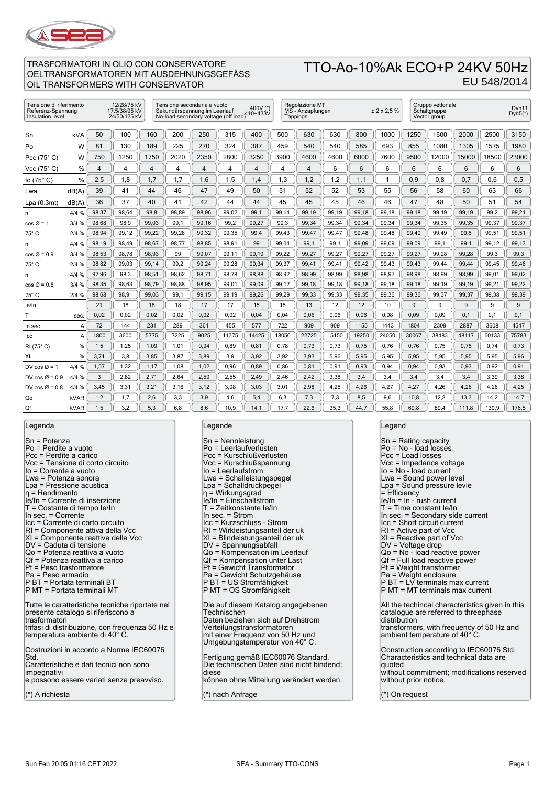

#### TRASFORMATORI IN OLIO CON CONSERVATORE OELTRANSFORMATOREN MIT AUSDEHNUNGSGEFÄSS OIL TRANSFORMERS WITH CONSERVATOR

## TTO-Ao-10%Ak ECO+P 24KV 50Hz EU 548/2014

| 12/28/75 kV<br>Tensione di riferimento<br>17.5/38/95 kV<br>Referenz-Spannung<br>Insulation level<br>24/50/125 kV |       |                | Tensione secondaria a vuoto<br>400V (*)<br>Sekundärspannung im Leerlauf<br>No-load secondary voltage (off load) <sup>410+433V</sup> |       |       |                |       | Regolazione MT<br>MS - Anzapfungen<br>Tappings |       |                | ± 2 × 2.5 % |       | Gruppo vettoriale<br>Schaltgruppe<br>Vector group |       | Dyn11<br>Dyn $5(*)$ |       |       |       |
|------------------------------------------------------------------------------------------------------------------|-------|----------------|-------------------------------------------------------------------------------------------------------------------------------------|-------|-------|----------------|-------|------------------------------------------------|-------|----------------|-------------|-------|---------------------------------------------------|-------|---------------------|-------|-------|-------|
| Sn                                                                                                               | kVA   | 50             | 100                                                                                                                                 | 160   | 200   | 250            | 315   | 400                                            | 500   | 630            | 630         | 800   | 1000                                              | 1250  | 1600                | 2000  | 2500  | 3150  |
| Po                                                                                                               | W     | 81             | 130                                                                                                                                 | 189   | 225   | 270            | 324   | 387                                            | 459   | 540            | 540         | 585   | 693                                               | 855   | 1080                | 1305  | 1575  | 1980  |
| Pcc $(75^{\circ} C)$                                                                                             | W     | 750            | 1250                                                                                                                                | 1750  | 2020  | 2350           | 2800  | 3250                                           | 3900  | 4600           | 4600        | 6000  | 7600                                              | 9500  | 12000               | 15000 | 18500 | 23000 |
| Vcc $(75^{\circ} C)$                                                                                             | %     | $\overline{4}$ | 4                                                                                                                                   | 4     | 4     | $\overline{4}$ | 4     | 4                                              | 4     | $\overline{4}$ | 6           | 6     | 6                                                 | 6     | 6                   | 6     | 6     | 6     |
| lo $(75^{\circ} C)$                                                                                              | %     | 2,5            | 1,8                                                                                                                                 | 1,7   | 1.7   | 1,6            | 1,5   | 1,4                                            | 1,3   | 1,2            | 1,2         | 1,1   |                                                   | 0.9   | 0,8                 | 0.7   | 0,6   | 0.5   |
| Lwa                                                                                                              | dB(A) | 39             | 41                                                                                                                                  | 44    | 46    | 47             | 49    | 50                                             | 51    | 52             | 52          | 53    | 55                                                | 56    | 58                  | 60    | 63    | 66    |
| Lpa(0.3mt)                                                                                                       | dB(A) | 36             | 37                                                                                                                                  | 40    | 41    | 42             | 44    | 44                                             | 45    | 45             | 45          | 46    | 46                                                | 47    | 48                  | 50    | 51    | 54    |
| n                                                                                                                | 4/4%  | 98,37          | 98,64                                                                                                                               | 98.8  | 98.89 | 98.96          | 99.02 | 99.1                                           | 99.14 | 99,19          | 99.19       | 99.18 | 99.18                                             | 99.18 | 99,19               | 99.19 | 99,2  | 99,21 |
| $cos \varnothing = 1$                                                                                            | 3/4%  | 98,68          | 98,9                                                                                                                                | 99,03 | 99,1  | 99,16          | 99,2  | 99,27                                          | 99,3  | 99,34          | 99,34       | 99,34 | 99,34                                             | 99,34 | 99,35               | 99,35 | 99,37 | 99,37 |
| 75° C                                                                                                            | 2/4 % | 98,94          | 99.12                                                                                                                               | 99.22 | 99.28 | 99.32          | 99,35 | 99.4                                           | 99.43 | 99,47          | 99,47       | 99,48 | 99,48                                             | 99.49 | 99,49               | 99,5  | 99,51 | 99,51 |
| n                                                                                                                | 4/4%  | 98,19          | 98,49                                                                                                                               | 98,67 | 98,77 | 98,85          | 98,91 | 99                                             | 99,04 | 99,1           | 99,1        | 99,09 | 99,09                                             | 99,09 | 99,1                | 99,1  | 99,12 | 99,13 |
| $\cos \varnothing = 0.9$                                                                                         | 3/4%  | 98,53          | 98,78                                                                                                                               | 98,93 | 99    | 99,07          | 99,11 | 99,19                                          | 99,22 | 99,27          | 99,27       | 99,27 | 99,27                                             | 99,27 | 99,28               | 99.28 | 99,3  | 99,3  |
| $75^\circ$ C                                                                                                     | 2/4%  | 98,82          | 99,03                                                                                                                               | 99,14 | 99,2  | 99,24          | 99,28 | 99,34                                          | 99,37 | 99,41          | 99,41       | 99,42 | 99,43                                             | 99,43 | 99,44               | 99,44 | 99,45 | 99,46 |
| n                                                                                                                | 4/4%  | 97,96          | 98,3                                                                                                                                | 98,51 | 98,62 | 98,71          | 98,78 | 98,88                                          | 98,92 | 98,99          | 98,99       | 98,98 | 98,97                                             | 98,98 | 98,99               | 98,99 | 99,01 | 99,02 |
| $\cos \varnothing = 0.8$                                                                                         | 3/4%  | 98,35          | 98,63                                                                                                                               | 98,79 | 98,88 | 98,95          | 99,01 | 99,09                                          | 99,12 | 99,18          | 99,18       | 99,18 | 99,18                                             | 99,18 | 99,19               | 99,19 | 99,21 | 99,22 |
| 75° C                                                                                                            | 2/4%  | 98,68          | 98,91                                                                                                                               | 99,03 | 99,1  | 99,15          | 99,19 | 99,26                                          | 99,29 | 99,33          | 99,33       | 99,35 | 99,36                                             | 99,36 | 99,37               | 99,37 | 99,38 | 99,39 |
| le/ln                                                                                                            |       | 21             | 18                                                                                                                                  | 18    | 18    | 17             | 17    | 15                                             | 15    | 13             | 12          | 12    | 10                                                | 9     | 9                   | 9     | 9     | 9     |
| т                                                                                                                | sec.  | 0,02           | 0,02                                                                                                                                | 0,02  | 0,02  | 0,02           | 0,02  | 0,04                                           | 0,04  | 0,06           | 0,06        | 0,06  | 0.08                                              | 0.09  | 0,09                | 0,1   | 0,1   | 0,1   |
| In sec.                                                                                                          | A     | 72             | 144                                                                                                                                 | 231   | 289   | 361            | 455   | 577                                            | 722   | 909            | 909         | 1155  | 1443                                              | 1804  | 2309                | 2887  | 3608  | 4547  |
| Icc                                                                                                              | A     | 1800           | 3600                                                                                                                                | 5775  | 7225  | 9025           | 11375 | 14425                                          | 18050 | 22725          | 15150       | 19250 | 24050                                             | 30067 | 38483               | 48117 | 60133 | 75783 |
| RI (75°C)                                                                                                        | %     | 1,5            | 1.25                                                                                                                                | 1,09  | 1,01  | 0,94           | 0,89  | 0,81                                           | 0,78  | 0,73           | 0,73        | 0,75  | 0,76                                              | 0,76  | 0,75                | 0,75  | 0.74  | 0,73  |
| XI                                                                                                               | %     | 3,71           | 3,8                                                                                                                                 | 3,85  | 3,87  | 3,89           | 3,9   | 3,92                                           | 3,92  | 3,93           | 5,96        | 5,95  | 5,95                                              | 5,95  | 5,95                | 5,95  | 5,95  | 5,96  |
| DV $\cos \varnothing = 1$                                                                                        | 4/4%  | 1,57           | 1,32                                                                                                                                | 1,17  | 1,08  | 1,02           | 0,96  | 0,89                                           | 0,86  | 0,81           | 0,91        | 0,93  | 0,94                                              | 0,94  | 0,93                | 0,93  | 0,92  | 0,91  |
| DV cos $\varnothing$ = 0.9                                                                                       | 4/4%  | 3              | 2,82                                                                                                                                | 2,71  | 2,64  | 2,59           | 2,55  | 2,49                                           | 2,46  | 2,42           | 3,38        | 3,4   | 3,4                                               | 3,4   | 3,4                 | 3,4   | 3,39  | 3,38  |
| DV cos $\varnothing$ = 0.8                                                                                       | 4/4%  | 3,45           | 3,31                                                                                                                                | 3,21  | 3,16  | 3,12           | 3,08  | 3,03                                           | 3,01  | 2,98           | 4,25        | 4,26  | 4,27                                              | 4,27  | 4,26                | 4,26  | 4,26  | 4,25  |
| Qo                                                                                                               | kVAR  | 1,2            | 1,7                                                                                                                                 | 2,6   | 3.3   | 3.9            | 4.6   | 5.4                                            | 6,3   | 7,3            | 7,3         | 8,5   | 9,6                                               | 10.8  | 12,2                | 13,3  | 14,2  | 14,7  |
| Qf                                                                                                               | kVAR  | 1,5            | 3,2                                                                                                                                 | 5,3   | 6.8   | 8.6            | 10.9  | 14,1                                           | 17,7  | 22.6           | 35,3        | 44.7  | 55.8                                              | 69.8  | 89.4                | 111,8 | 139.9 | 176,5 |

Legenda

Sn = Potenza Po = Perdite a vuoto Pcc = Perdite a carico Vcc = Tensione di corto circuito Io = Corrente a vuoto Lwa = Potenza sonora Lpa = Pressione acustica  $n =$ Rendimento Ie/In = Corrente di inserzione T = Costante di tempo Ie/In In sec.  $=$  Corrente Icc = Corrente di corto circuito RI = Componente attiva della Vcc XI = Componente reattiva della Vcc DV = Caduta di tensione Qo = Potenza reattiva a vuoto Qf = Potenza reattiva a carico Pt = Peso trasformatore Pa = Peso armadio P BT = Portata terminali BT P MT = Portata terminali MT Tutte le caratteristiche tecniche riportate nel presente catalogo si riferiscono a trasformatori trifasi di distribuzione, con frequenza 50 Hz e temperatura ambiente di 40° C. Costruzioni in accordo a Norme IEC60076 Std. Caratteristiche e dati tecnici non sono impegnativi

e possono essere variati senza preavviso.

(\*) A richiesta

### Legende

Sn = Nennleistung Po = Leerlaufverlusten Pcc = Kurschlußverlusten Vcc = Kurschlußspannung Io = Leerlaufstrom Lwa = Schalleistungspegel Lpa = Schalldruckpegel η = Wirkungsgrad Ie/In = Einschaltstrom T = Zeitkonstante Ie/In In sec. = Strom Icc = Kurzschluss - Strom RI = Wirkleistungsanteil der uk XI = Blindeistungsanteil der uk DV = Spannungsabfall Qo = Kompensation im Leerlauf Qf = Kompensation unter Last Pt = Gewicht Transformator Pa = Gewicht Schutzgehäuse P BT = US Stromfähigkeit P MT = OS Stromfähigkeit Die auf diesem Katalog angegebenen Technischen Daten beziehen sich auf Drehstrom Verteilungstransformatoren mit einer Frequenz von 50 Hz und Umgebungstemperatur von 40° C. Fertigung gemäß IEC60076 Standard. Die technischen Daten sind nicht bindend; diese können ohne Mitteilung verändert werden.

(\*) nach Anfrage

#### Legend

Sn = Rating capacity Po = No - load losses Pcc = Load losses Vcc = Impedance voltage Io = No - load current Lwa = Sound power level Lpa = Sound pressure levle = Efficiency Ie/In = In - rush current T = Time constant Ie/In In sec. = Secondary side current Icc = Short circuit current RI = Active part of Vcc XI = Reactive part of Vcc DV = Voltage drop Qo = No - load reactive power Qf = Full load reactive power Pt = Weight transformer Pa = Weight enclosure P BT = LV terminals max current P MT = MT terminals max current All the techincal characteristics given in this catalogue are referred to threephase distribution transformers, with frequency of 50 Hz and ambient temperature of 40° C. Construction according to IEC60076 Std. Characteristics and technical data are quoted without commitment; modifications reserved without prior notice.

(\*) On request